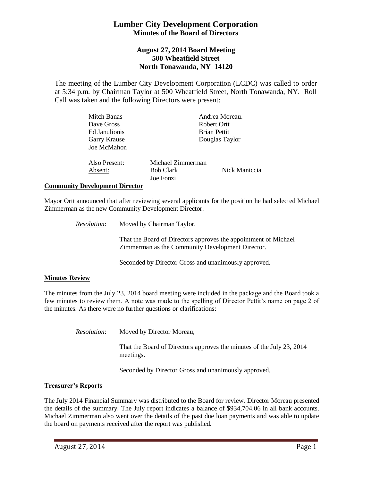# **Lumber City Development Corporation Minutes of the Board of Directors**

## **August 27, 2014 Board Meeting 500 Wheatfield Street North Tonawanda, NY 14120**

The meeting of the Lumber City Development Corporation (LCDC) was called to order at 5:34 p.m. by Chairman Taylor at 500 Wheatfield Street, North Tonawanda, NY. Roll Call was taken and the following Directors were present:

| Mitch Banas   | Andrea Moreau.    |                     |  |
|---------------|-------------------|---------------------|--|
| Dave Gross    |                   | Robert Ortt         |  |
| Ed Janulionis |                   | <b>Brian Pettit</b> |  |
| Garry Krause  | Douglas Taylor    |                     |  |
| Joe McMahon   |                   |                     |  |
| Also Present: | Michael Zimmerman |                     |  |
| Absent:       | <b>Bob Clark</b>  | Nick Maniccia       |  |
|               | Joe Fonzi         |                     |  |

### **Community Development Director**

Mayor Ortt announced that after reviewing several applicants for the position he had selected Michael Zimmerman as the new Community Development Director.

*Resolution*: Moved by Chairman Taylor,

That the Board of Directors approves the appointment of Michael Zimmerman as the Community Development Director.

Seconded by Director Gross and unanimously approved.

### **Minutes Review**

The minutes from the July 23, 2014 board meeting were included in the package and the Board took a few minutes to review them. A note was made to the spelling of Director Pettit's name on page 2 of the minutes. As there were no further questions or clarifications:

*Resolution*: Moved by Director Moreau,

That the Board of Directors approves the minutes of the July 23, 2014 meetings.

Seconded by Director Gross and unanimously approved.

### **Treasurer's Reports**

The July 2014 Financial Summary was distributed to the Board for review. Director Moreau presented the details of the summary. The July report indicates a balance of \$934,704.06 in all bank accounts. Michael Zimmerman also went over the details of the past due loan payments and was able to update the board on payments received after the report was published.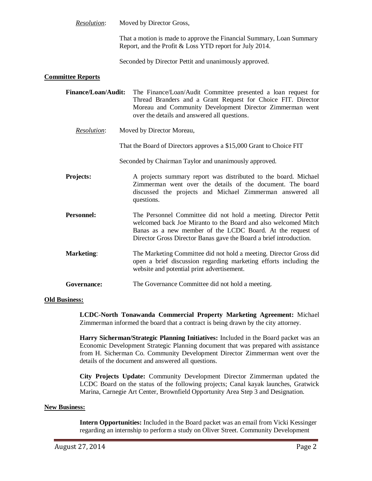*Resolution*: Moved by Director Gross,

That a motion is made to approve the Financial Summary, Loan Summary Report, and the Profit & Loss YTD report for July 2014.

Seconded by Director Pettit and unanimously approved.

### **Committee Reports**

| Finance/Loan/Audit: | The Finance/Loan/Audit Committee presented a loan request for |
|---------------------|---------------------------------------------------------------|
|                     | Thread Branders and a Grant Request for Choice FIT. Director  |
|                     | Moreau and Community Development Director Zimmerman went      |
|                     | over the details and answered all questions.                  |

- *Resolution*: Moved by Director Moreau,
	- That the Board of Directors approves a \$15,000 Grant to Choice FIT
	- Seconded by Chairman Taylor and unanimously approved.
- **Projects:** A projects summary report was distributed to the board. Michael Zimmerman went over the details of the document. The board discussed the projects and Michael Zimmerman answered all questions.
- **Personnel:** The Personnel Committee did not hold a meeting. Director Pettit welcomed back Joe Miranto to the Board and also welcomed Mitch Banas as a new member of the LCDC Board. At the request of Director Gross Director Banas gave the Board a brief introduction.
- **Marketing:** The Marketing Committee did not hold a meeting. Director Gross did open a brief discussion regarding marketing efforts including the website and potential print advertisement.
- Governance: The Governance Committee did not hold a meeting.

### **Old Business:**

**LCDC-North Tonawanda Commercial Property Marketing Agreement:** Michael Zimmerman informed the board that a contract is being drawn by the city attorney.

**Harry Sicherman/Strategic Planning Initiatives:** Included in the Board packet was an Economic Development Strategic Planning document that was prepared with assistance from H. Sicherman Co. Community Development Director Zimmerman went over the details of the document and answered all questions.

**City Projects Update:** Community Development Director Zimmerman updated the LCDC Board on the status of the following projects; Canal kayak launches, Gratwick Marina, Carnegie Art Center, Brownfield Opportunity Area Step 3 and Designation.

### **New Business:**

**Intern Opportunities:** Included in the Board packet was an email from Vicki Kessinger regarding an internship to perform a study on Oliver Street. Community Development